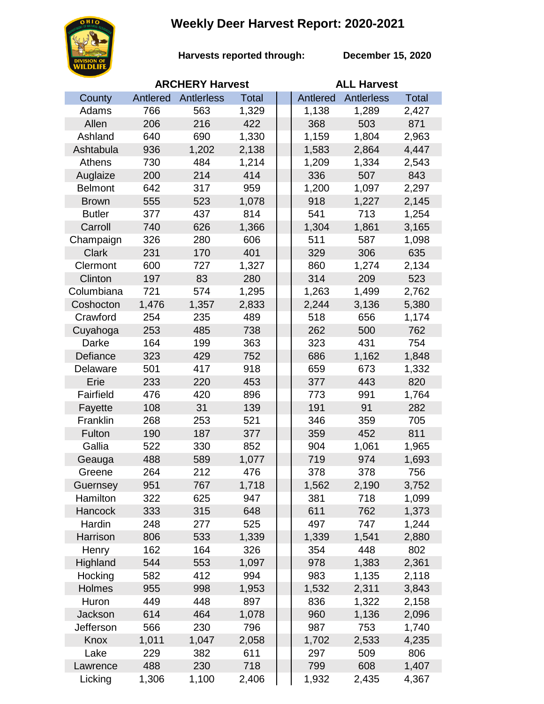## **Weekly Deer Harvest Report: 2020-2021**



**Harvests reported through:** 

**December 15, 2020**

|                | <b>ARCHERY Harvest</b> |            |              |  | <b>ALL Harvest</b> |            |              |  |
|----------------|------------------------|------------|--------------|--|--------------------|------------|--------------|--|
| County         | Antlered               | Antlerless | <b>Total</b> |  | Antlered           | Antlerless | <b>Total</b> |  |
| Adams          | 766                    | 563        | 1,329        |  | 1,138              | 1,289      | 2,427        |  |
| Allen          | 206                    | 216        | 422          |  | 368                | 503        | 871          |  |
| Ashland        | 640                    | 690        | 1,330        |  | 1,159              | 1,804      | 2,963        |  |
| Ashtabula      | 936                    | 1,202      | 2,138        |  | 1,583              | 2,864      | 4,447        |  |
| Athens         | 730                    | 484        | 1,214        |  | 1,209              | 1,334      | 2,543        |  |
| Auglaize       | 200                    | 214        | 414          |  | 336                | 507        | 843          |  |
| <b>Belmont</b> | 642                    | 317        | 959          |  | 1,200              | 1,097      | 2,297        |  |
| <b>Brown</b>   | 555                    | 523        | 1,078        |  | 918                | 1,227      | 2,145        |  |
| <b>Butler</b>  | 377                    | 437        | 814          |  | 541                | 713        | 1,254        |  |
| Carroll        | 740                    | 626        | 1,366        |  | 1,304              | 1,861      | 3,165        |  |
| Champaign      | 326                    | 280        | 606          |  | 511                | 587        | 1,098        |  |
| <b>Clark</b>   | 231                    | 170        | 401          |  | 329                | 306        | 635          |  |
| Clermont       | 600                    | 727        | 1,327        |  | 860                | 1,274      | 2,134        |  |
| Clinton        | 197                    | 83         | 280          |  | 314                | 209        | 523          |  |
| Columbiana     | 721                    | 574        | 1,295        |  | 1,263              | 1,499      | 2,762        |  |
| Coshocton      | 1,476                  | 1,357      | 2,833        |  | 2,244              | 3,136      | 5,380        |  |
| Crawford       | 254                    | 235        | 489          |  | 518                | 656        | 1,174        |  |
| Cuyahoga       | 253                    | 485        | 738          |  | 262                | 500        | 762          |  |
| Darke          | 164                    | 199        | 363          |  | 323                | 431        | 754          |  |
| Defiance       | 323                    | 429        | 752          |  | 686                | 1,162      | 1,848        |  |
| Delaware       | 501                    | 417        | 918          |  | 659                | 673        | 1,332        |  |
| Erie           | 233                    | 220        | 453          |  | 377                | 443        | 820          |  |
| Fairfield      | 476                    | 420        | 896          |  | 773                | 991        | 1,764        |  |
| Fayette        | 108                    | 31         | 139          |  | 191                | 91         | 282          |  |
| Franklin       | 268                    | 253        | 521          |  | 346                | 359        | 705          |  |
| Fulton         | 190                    | 187        | 377          |  | 359                | 452        | 811          |  |
| Gallia         | 522                    | 330        | 852          |  | 904                | 1,061      | 1,965        |  |
| Geauga         | 488                    | 589        | 1,077        |  | 719                | 974        | 1,693        |  |
| Greene         | 264                    | 212        | 476          |  | 378                | 378        | 756          |  |
| Guernsey       | 951                    | 767        | 1,718        |  | 1,562              | 2,190      | 3,752        |  |
| Hamilton       | 322                    | 625        | 947          |  | 381                | 718        | 1,099        |  |
| Hancock        | 333                    | 315        | 648          |  | 611                | 762        | 1,373        |  |
| Hardin         | 248                    | 277        | 525          |  | 497                | 747        | 1,244        |  |
| Harrison       | 806                    | 533        | 1,339        |  | 1,339              | 1,541      | 2,880        |  |
| Henry          | 162                    | 164        | 326          |  | 354                | 448        | 802          |  |
| Highland       | 544                    | 553        | 1,097        |  | 978                | 1,383      | 2,361        |  |
| Hocking        | 582                    | 412        | 994          |  | 983                | 1,135      | 2,118        |  |
| Holmes         | 955                    | 998        | 1,953        |  | 1,532              | 2,311      | 3,843        |  |
| Huron          | 449                    | 448        | 897          |  | 836                | 1,322      | 2,158        |  |
| Jackson        | 614                    | 464        | 1,078        |  | 960                | 1,136      | 2,096        |  |
| Jefferson      | 566                    | 230        | 796          |  | 987                | 753        | 1,740        |  |
| Knox           | 1,011                  | 1,047      | 2,058        |  | 1,702              | 2,533      | 4,235        |  |
| Lake           | 229                    | 382        | 611          |  | 297                | 509        | 806          |  |
| Lawrence       | 488                    | 230        | 718          |  | 799                | 608        | 1,407        |  |
| Licking        | 1,306                  | 1,100      | 2,406        |  | 1,932              | 2,435      | 4,367        |  |